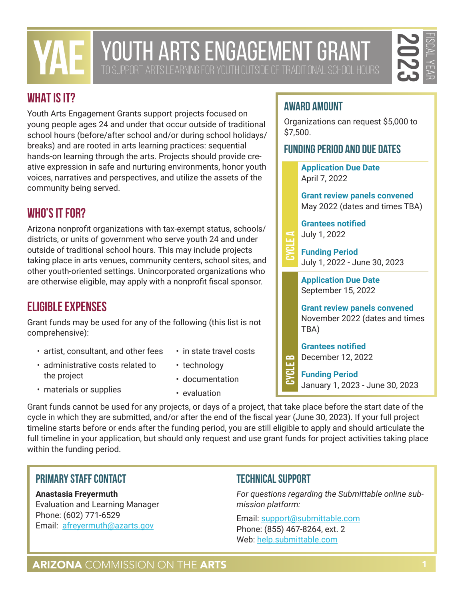# **2023** FISCAL YEAR

# **WHAT IS IT?**

Youth Arts Engagement Grants support projects focused on young people ages 24 and under that occur outside of traditional school hours (before/after school and/or during school holidays/ breaks) and are rooted in arts learning practices: sequential hands-on learning through the arts. Projects should provide creative expression in safe and nurturing environments, honor youth voices, narratives and perspectives, and utilize the assets of the community being served.

# **WHO'S IT FOR?**

Arizona nonprofit organizations with tax-exempt status, schools/ districts, or units of government who serve youth 24 and under outside of traditional school hours. This may include projects taking place in arts venues, community centers, school sites, and other youth-oriented settings. Unincorporated organizations who are otherwise eligible, may apply with a nonprofit fiscal sponsor.

# **ELIGIBLE EXPENSES**

Grant funds may be used for any of the following (this list is not comprehensive):

- artist, consultant, and other fees
- in state travel costs
- administrative costs related to the project
- technology
- materials or supplies
- documentation
- evaluation

Grant funds cannot be used for any projects, or days of a project, that take place before the start date of the cycle in which they are submitted, and/or after the end of the fiscal year (June 30, 2023). If your full project timeline starts before or ends after the funding period, you are still eligible to apply and should articulate the full timeline in your application, but should only request and use grant funds for project activities taking place within the funding period.

### **Primary Staff Contact**

**Anastasia Freyermuth** Evaluation and Learning Manager Phone: (602) 771-6529 Email: [afreyermuth@azarts.gov](mailto:afreyermuth@azarts.gov)

### **Technical Support**

*For questions regarding the Submittable online submission platform:* 

Email: [support@submittable.com](mailto:support@submittable.com) Phone: (855) 467-8264, ext. 2 Web: [help.submittable.com](http://help.submittable.com)

# **AWARD AMOUNT**

Organizations can request \$5,000 to \$7,500.

### **Funding Period and Due Dates**

**Application Due Date** April 7, 2022

**Grant review panels convened** May 2022 (dates and times TBA)

**Grantees notified** July 1, 2022

**Cycle A**

**Funding Period** July 1, 2022 - June 30, 2023

**Application Due Date** September 15, 2022

**Grant review panels convened** November 2022 (dates and times TBA)

**Grantees notified** December 12, 2022

**Funding Period** January 1, 2023 - June 30, 2023 **Cycle B**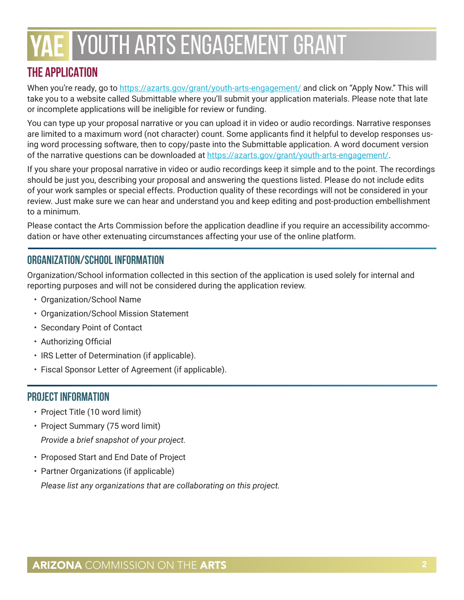# **THE APPLICATION**

When you're ready, go to [https://azarts.gov/grant/youth-arts-engagement/](https://azarts.gov/grant/youth-arts-engagement) and click on "Apply Now." This will take you to a website called Submittable where you'll submit your application materials. Please note that late or incomplete applications will be ineligible for review or funding.

You can type up your proposal narrative or you can upload it in video or audio recordings. Narrative responses are limited to a maximum word (not character) count. Some applicants find it helpful to develop responses using word processing software, then to copy/paste into the Submittable application. A word document version of the narrative questions can be downloaded at <https://azarts.gov/grant/youth-arts-engagement>/.

If you share your proposal narrative in video or audio recordings keep it simple and to the point. The recordings should be just you, describing your proposal and answering the questions listed. Please do not include edits of your work samples or special effects. Production quality of these recordings will not be considered in your review. Just make sure we can hear and understand you and keep editing and post-production embellishment to a minimum.

Please contact the Arts Commission before the application deadline if you require an accessibility accommodation or have other extenuating circumstances affecting your use of the online platform.

### **ORGANIZATION/SCHOOL INFORMATION**

Organization/School information collected in this section of the application is used solely for internal and reporting purposes and will not be considered during the application review.

- Organization/School Name
- Organization/School Mission Statement
- Secondary Point of Contact
- Authorizing Official
- IRS Letter of Determination (if applicable).
- Fiscal Sponsor Letter of Agreement (if applicable).

#### **PROJECT INFORMATION**

- Project Title (10 word limit)
- Project Summary (75 word limit) *Provide a brief snapshot of your project.*
- Proposed Start and End Date of Project
- Partner Organizations (if applicable) *Please list any organizations that are collaborating on this project.*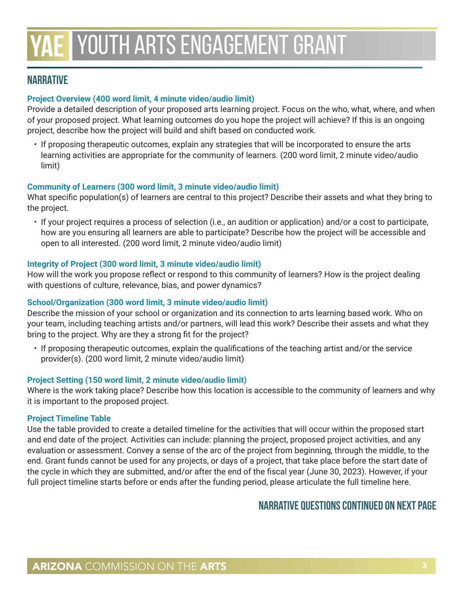#### **NARRATIVE**

#### **Project Overview (400 word limit, 4 minute video/audio limit)**

Provide a detailed description of your proposed arts learning project. Focus on the who, what, where, and when of your proposed project. What learning outcomes do you hope the project will achieve? If this is an ongoing project, describe how the project will build and shift based on conducted work.

• If proposing therapeutic outcomes, explain any strategies that will be incorporated to ensure the arts learning activities are appropriate for the community of learners. (200 word limit, 2 minute video/audio limit)

#### **Community of Learners (300 word limit, 3 minute video/audio limit)**

What specific population(s) of learners are central to this project? Describe their assets and what they bring to the project.

• If your project requires a process of selection (i.e., an audition or application) and/or a cost to participate, how are you ensuring all learners are able to participate? Describe how the project will be accessible and open to all interested. (200 word limit, 2 minute video/audio limit)

#### **Integrity of Project (300 word limit, 3 minute video/audio limit)**

How will the work you propose reflect or respond to this community of learners? How is the project dealing with questions of culture, relevance, bias, and power dynamics?

#### **School/Organization (300 word limit, 3 minute video/audio limit)**

Describe the mission of your school or organization and its connection to arts learning based work. Who on your team, including teaching artists and/or partners, will lead this work? Describe their assets and what they bring to the project. Why are they a strong fit for the project?

• If proposing therapeutic outcomes, explain the qualifications of the teaching artist and/or the service provider(s). (200 word limit, 2 minute video/audio limit)

#### **Project Setting (150 word limit, 2 minute video/audio limit)**

Where is the work taking place? Describe how this location is accessible to the community of learners and why it is important to the proposed project.

#### **Project Timeline Table**

Use the table provided to create a detailed timeline for the activities that will occur within the proposed start and end date of the project. Activities can include: planning the project, proposed project activities, and any evaluation or assessment. Convey a sense of the arc of the project from beginning, through the middle, to the end. Grant funds cannot be used for any projects, or days of a project, that take place before the start date of the cycle in which they are submitted, and/or after the end of the fiscal year (June 30, 2023). However, if your full project timeline starts before or ends after the funding period, please articulate the full timeline here.

#### **Narrative Questions continued on next page**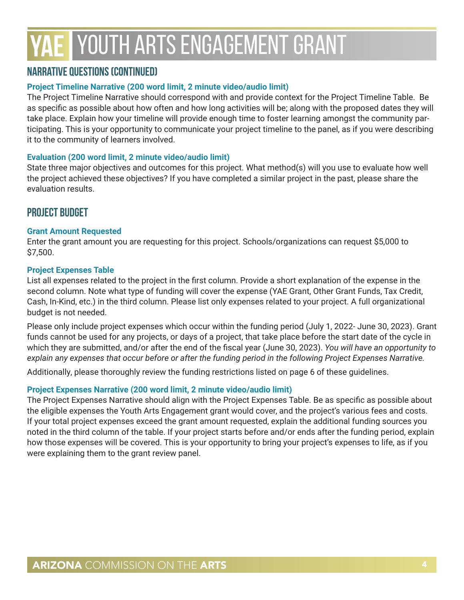#### **Narrative Questions (continued)**

#### **Project Timeline Narrative (200 word limit, 2 minute video/audio limit)**

The Project Timeline Narrative should correspond with and provide context for the Project Timeline Table. Be as specific as possible about how often and how long activities will be; along with the proposed dates they will take place. Explain how your timeline will provide enough time to foster learning amongst the community participating. This is your opportunity to communicate your project timeline to the panel, as if you were describing it to the community of learners involved.

#### **Evaluation (200 word limit, 2 minute video/audio limit)**

State three major objectives and outcomes for this project. What method(s) will you use to evaluate how well the project achieved these objectives? If you have completed a similar project in the past, please share the evaluation results.

#### **PROJECT BUDGET**

#### **Grant Amount Requested**

Enter the grant amount you are requesting for this project. Schools/organizations can request \$5,000 to \$7,500.

#### **Project Expenses Table**

List all expenses related to the project in the first column. Provide a short explanation of the expense in the second column. Note what type of funding will cover the expense (YAE Grant, Other Grant Funds, Tax Credit, Cash, In-Kind, etc.) in the third column. Please list only expenses related to your project. A full organizational budget is not needed.

Please only include project expenses which occur within the funding period (July 1, 2022- June 30, 2023). Grant funds cannot be used for any projects, or days of a project, that take place before the start date of the cycle in which they are submitted, and/or after the end of the fiscal year (June 30, 2023). *You will have an opportunity to explain any expenses that occur before or after the funding period in the following Project Expenses Narrative.*

Additionally, please thoroughly review the funding restrictions listed on page 6 of these guidelines.

#### **Project Expenses Narrative (200 word limit, 2 minute video/audio limit)**

The Project Expenses Narrative should align with the Project Expenses Table. Be as specific as possible about the eligible expenses the Youth Arts Engagement grant would cover, and the project's various fees and costs. If your total project expenses exceed the grant amount requested, explain the additional funding sources you noted in the third column of the table. If your project starts before and/or ends after the funding period, explain how those expenses will be covered. This is your opportunity to bring your project's expenses to life, as if you were explaining them to the grant review panel.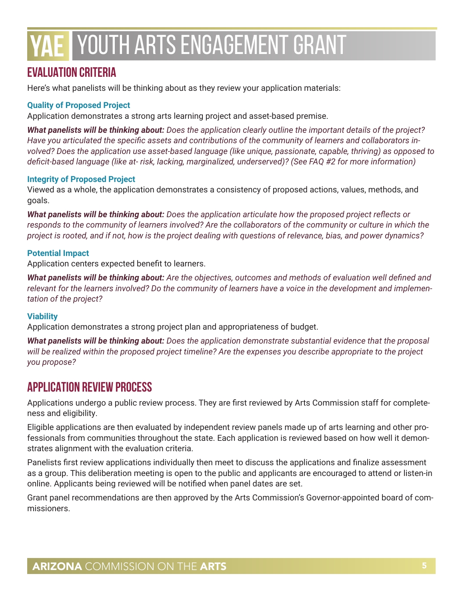# **EVALUATION CRITERIA**

Here's what panelists will be thinking about as they review your application materials:

#### **Quality of Proposed Project**

Application demonstrates a strong arts learning project and asset-based premise.

*What panelists will be thinking about: Does the application clearly outline the important details of the project? Have you articulated the specific assets and contributions of the community of learners and collaborators involved? Does the application use asset-based language (like unique, passionate, capable, thriving) as opposed to deficit-based language (like at- risk, lacking, marginalized, underserved)? (See FAQ #2 for more information)*

#### **Integrity of Proposed Project**

Viewed as a whole, the application demonstrates a consistency of proposed actions, values, methods, and goals.

*What panelists will be thinking about: Does the application articulate how the proposed project reflects or responds to the community of learners involved? Are the collaborators of the community or culture in which the project is rooted, and if not, how is the project dealing with questions of relevance, bias, and power dynamics?*

#### **Potential Impact**

Application centers expected benefit to learners.

*What panelists will be thinking about: Are the objectives, outcomes and methods of evaluation well defined and relevant for the learners involved? Do the community of learners have a voice in the development and implementation of the project?*

#### **Viability**

Application demonstrates a strong project plan and appropriateness of budget.

*What panelists will be thinking about: Does the application demonstrate substantial evidence that the proposal will be realized within the proposed project timeline? Are the expenses you describe appropriate to the project you propose?*

### **APPLICATION REVIEW PROCESS**

Applications undergo a public review process. They are first reviewed by Arts Commission staff for completeness and eligibility.

Eligible applications are then evaluated by independent review panels made up of arts learning and other professionals from communities throughout the state. Each application is reviewed based on how well it demonstrates alignment with the evaluation criteria.

Panelists first review applications individually then meet to discuss the applications and finalize assessment as a group. This deliberation meeting is open to the public and applicants are encouraged to attend or listen-in online. Applicants being reviewed will be notified when panel dates are set.

Grant panel recommendations are then approved by the Arts Commission's Governor-appointed board of commissioners.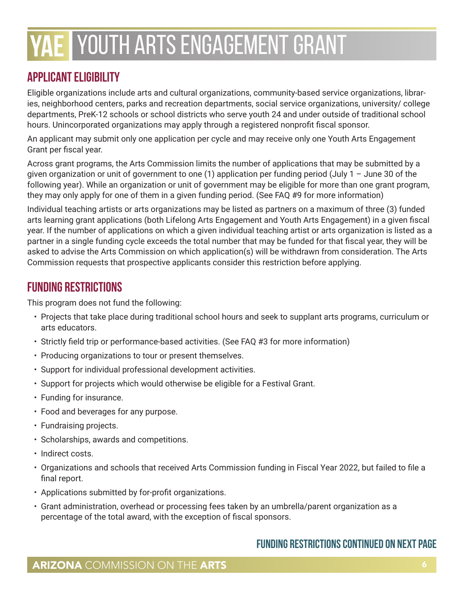# **APPLICANT ELIGIBILITY**

Eligible organizations include arts and cultural organizations, community-based service organizations, libraries, neighborhood centers, parks and recreation departments, social service organizations, university/ college departments, PreK-12 schools or school districts who serve youth 24 and under outside of traditional school hours. Unincorporated organizations may apply through a registered nonprofit fiscal sponsor.

An applicant may submit only one application per cycle and may receive only one Youth Arts Engagement Grant per fiscal year.

Across grant programs, the Arts Commission limits the number of applications that may be submitted by a given organization or unit of government to one (1) application per funding period (July 1 – June 30 of the following year). While an organization or unit of government may be eligible for more than one grant program, they may only apply for one of them in a given funding period. (See FAQ #9 for more information)

Individual teaching artists or arts organizations may be listed as partners on a maximum of three (3) funded arts learning grant applications (both Lifelong Arts Engagement and Youth Arts Engagement) in a given fiscal year. If the number of applications on which a given individual teaching artist or arts organization is listed as a partner in a single funding cycle exceeds the total number that may be funded for that fiscal year, they will be asked to advise the Arts Commission on which application(s) will be withdrawn from consideration. The Arts Commission requests that prospective applicants consider this restriction before applying.

### **FUNDING RESTRICTIONS**

This program does not fund the following:

- Projects that take place during traditional school hours and seek to supplant arts programs, curriculum or arts educators.
- Strictly field trip or performance-based activities. (See FAQ #3 for more information)
- Producing organizations to tour or present themselves.
- Support for individual professional development activities.
- Support for projects which would otherwise be eligible for a Festival Grant.
- Funding for insurance.
- Food and beverages for any purpose.
- Fundraising projects.
- Scholarships, awards and competitions.
- Indirect costs.
- Organizations and schools that received Arts Commission funding in Fiscal Year 2022, but failed to file a final report.
- Applications submitted by for-profit organizations.
- Grant administration, overhead or processing fees taken by an umbrella/parent organization as a percentage of the total award, with the exception of fiscal sponsors.

### **Funding Restrictions continued on next page**

### **ARIZONA** COMMISSION ON THE ARTS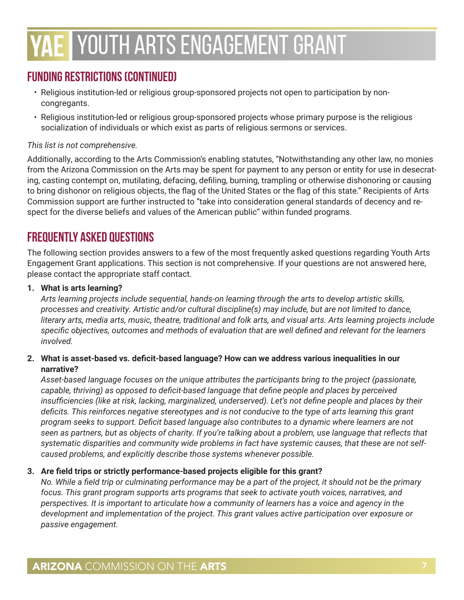# **Funding Restrictions (continued)**

- Religious institution-led or religious group-sponsored projects not open to participation by noncongregants.
- Religious institution-led or religious group-sponsored projects whose primary purpose is the religious socialization of individuals or which exist as parts of religious sermons or services.

#### *This list is not comprehensive.*

Additionally, according to the Arts Commission's enabling statutes, "Notwithstanding any other law, no monies from the Arizona Commission on the Arts may be spent for payment to any person or entity for use in desecrating, casting contempt on, mutilating, defacing, defiling, burning, trampling or otherwise dishonoring or causing to bring dishonor on religious objects, the flag of the United States or the flag of this state." Recipients of Arts Commission support are further instructed to "take into consideration general standards of decency and respect for the diverse beliefs and values of the American public" within funded programs.

# **FREQUENTLY ASKED QUESTIONS**

The following section provides answers to a few of the most frequently asked questions regarding Youth Arts Engagement Grant applications. This section is not comprehensive. If your questions are not answered here, please contact the appropriate staff contact.

#### **1. What is arts learning?**

*Arts learning projects include sequential, hands-on learning through the arts to develop artistic skills, processes and creativity. Artistic and/or cultural discipline(s) may include, but are not limited to dance, literary arts, media arts, music, theatre, traditional and folk arts, and visual arts. Arts learning projects include specific objectives, outcomes and methods of evaluation that are well defined and relevant for the learners involved.* 

#### **2. What is asset-based vs. deficit-based language? How can we address various inequalities in our narrative?**

*Asset-based language focuses on the unique attributes the participants bring to the project (passionate, capable, thriving) as opposed to deficit-based language that define people and places by perceived insufficiencies (like at risk, lacking, marginalized, underserved). Let's not define people and places by their deficits. This reinforces negative stereotypes and is not conducive to the type of arts learning this grant program seeks to support. Deficit based language also contributes to a dynamic where learners are not*  seen as partners, but as objects of charity. If you're talking about a problem, use language that reflects that *systematic disparities and community wide problems in fact have systemic causes, that these are not selfcaused problems, and explicitly describe those systems whenever possible.*

#### **3. Are field trips or strictly performance-based projects eligible for this grant?**

*No. While a field trip or culminating performance may be a part of the project, it should not be the primary focus. This grant program supports arts programs that seek to activate youth voices, narratives, and perspectives. It is important to articulate how a community of learners has a voice and agency in the development and implementation of the project. This grant values active participation over exposure or passive engagement.*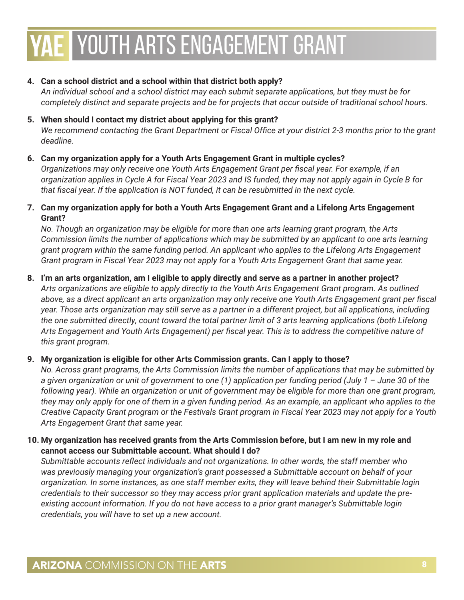#### **4. Can a school district and a school within that district both apply?**

*An individual school and a school district may each submit separate applications, but they must be for completely distinct and separate projects and be for projects that occur outside of traditional school hours.*

**5. When should I contact my district about applying for this grant?** *We recommend contacting the Grant Department or Fiscal Office at your district 2-3 months prior to the grant deadline.*

#### **6. Can my organization apply for a Youth Arts Engagement Grant in multiple cycles?**

*Organizations may only receive one Youth Arts Engagement Grant per fiscal year. For example, if an organization applies in Cycle A for Fiscal Year 2023 and IS funded, they may not apply again in Cycle B for that fiscal year. If the application is NOT funded, it can be resubmitted in the next cycle.*

#### **7. Can my organization apply for both a Youth Arts Engagement Grant and a Lifelong Arts Engagement Grant?**

*No. Though an organization may be eligible for more than one arts learning grant program, the Arts Commission limits the number of applications which may be submitted by an applicant to one arts learning grant program within the same funding period. An applicant who applies to the Lifelong Arts Engagement Grant program in Fiscal Year 2023 may not apply for a Youth Arts Engagement Grant that same year.*

#### **8. I'm an arts organization, am I eligible to apply directly and serve as a partner in another project?**

*Arts organizations are eligible to apply directly to the Youth Arts Engagement Grant program. As outlined above, as a direct applicant an arts organization may only receive one Youth Arts Engagement grant per fiscal year. Those arts organization may still serve as a partner in a different project, but all applications, including the one submitted directly, count toward the total partner limit of 3 arts learning applications (both Lifelong Arts Engagement and Youth Arts Engagement) per fiscal year. This is to address the competitive nature of this grant program.*

#### **9. My organization is eligible for other Arts Commission grants. Can I apply to those?**

*No. Across grant programs, the Arts Commission limits the number of applications that may be submitted by a given organization or unit of government to one (1) application per funding period (July 1 – June 30 of the*  following year). While an organization or unit of government may be eligible for more than one grant program, *they may only apply for one of them in a given funding period. As an example, an applicant who applies to the Creative Capacity Grant program or the Festivals Grant program in Fiscal Year 2023 may not apply for a Youth Arts Engagement Grant that same year.*

#### **10. My organization has received grants from the Arts Commission before, but I am new in my role and cannot access our Submittable account. What should I do?**

*Submittable accounts reflect individuals and not organizations. In other words, the staff member who was previously managing your organization's grant possessed a Submittable account on behalf of your organization. In some instances, as one staff member exits, they will leave behind their Submittable login credentials to their successor so they may access prior grant application materials and update the preexisting account information. If you do not have access to a prior grant manager's Submittable login credentials, you will have to set up a new account.*